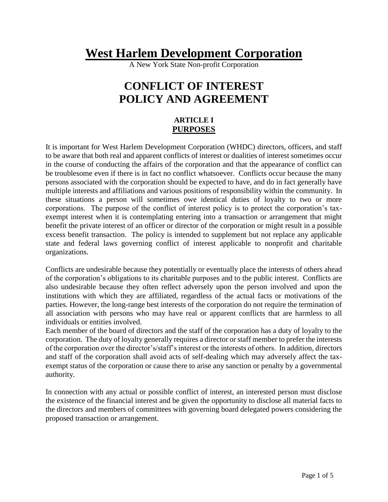# **West Harlem Development Corporation**

A New York State Non-profit Corporation

## **CONFLICT OF INTEREST POLICY AND AGREEMENT**

## **ARTICLE I PURPOSES**

It is important for West Harlem Development Corporation (WHDC) directors, officers, and staff to be aware that both real and apparent conflicts of interest or dualities of interest sometimes occur in the course of conducting the affairs of the corporation and that the appearance of conflict can be troublesome even if there is in fact no conflict whatsoever. Conflicts occur because the many persons associated with the corporation should be expected to have, and do in fact generally have multiple interests and affiliations and various positions of responsibility within the community. In these situations a person will sometimes owe identical duties of loyalty to two or more corporations. The purpose of the conflict of interest policy is to protect the corporation's taxexempt interest when it is contemplating entering into a transaction or arrangement that might benefit the private interest of an officer or director of the corporation or might result in a possible excess benefit transaction. The policy is intended to supplement but not replace any applicable state and federal laws governing conflict of interest applicable to nonprofit and charitable organizations.

Conflicts are undesirable because they potentially or eventually place the interests of others ahead of the corporation's obligations to its charitable purposes and to the public interest. Conflicts are also undesirable because they often reflect adversely upon the person involved and upon the institutions with which they are affiliated, regardless of the actual facts or motivations of the parties. However, the long-range best interests of the corporation do not require the termination of all association with persons who may have real or apparent conflicts that are harmless to all individuals or entities involved.

Each member of the board of directors and the staff of the corporation has a duty of loyalty to the corporation. The duty of loyalty generally requires a director or staff member to prefer the interests of the corporation over the director's/staff's interest or the interests of others. In addition, directors and staff of the corporation shall avoid acts of self-dealing which may adversely affect the taxexempt status of the corporation or cause there to arise any sanction or penalty by a governmental authority.

In connection with any actual or possible conflict of interest, an interested person must disclose the existence of the financial interest and be given the opportunity to disclose all material facts to the directors and members of committees with governing board delegated powers considering the proposed transaction or arrangement.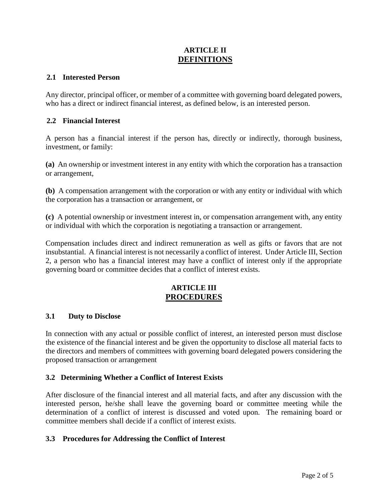## **ARTICLE II DEFINITIONS**

#### **2.1 Interested Person**

Any director, principal officer, or member of a committee with governing board delegated powers, who has a direct or indirect financial interest, as defined below, is an interested person.

#### **2.2 Financial Interest**

A person has a financial interest if the person has, directly or indirectly, thorough business, investment, or family:

**(a)** An ownership or investment interest in any entity with which the corporation has a transaction or arrangement,

**(b)** A compensation arrangement with the corporation or with any entity or individual with which the corporation has a transaction or arrangement, or

**(c)** A potential ownership or investment interest in, or compensation arrangement with, any entity or individual with which the corporation is negotiating a transaction or arrangement.

Compensation includes direct and indirect remuneration as well as gifts or favors that are not insubstantial. A financial interest is not necessarily a conflict of interest. Under Article III, Section 2, a person who has a financial interest may have a conflict of interest only if the appropriate governing board or committee decides that a conflict of interest exists.

#### **ARTICLE III PROCEDURES**

#### **3.1 Duty to Disclose**

In connection with any actual or possible conflict of interest, an interested person must disclose the existence of the financial interest and be given the opportunity to disclose all material facts to the directors and members of committees with governing board delegated powers considering the proposed transaction or arrangement

#### **3.2 Determining Whether a Conflict of Interest Exists**

After disclosure of the financial interest and all material facts, and after any discussion with the interested person, he/she shall leave the governing board or committee meeting while the determination of a conflict of interest is discussed and voted upon. The remaining board or committee members shall decide if a conflict of interest exists.

#### **3.3 Procedures for Addressing the Conflict of Interest**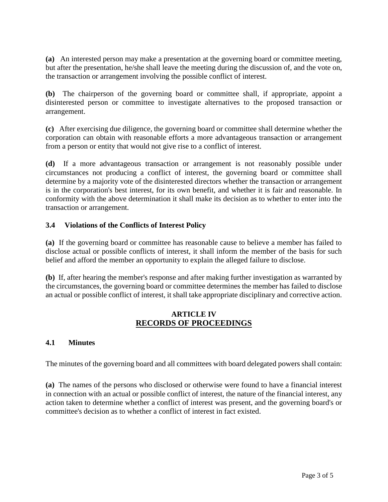**(a)** An interested person may make a presentation at the governing board or committee meeting, but after the presentation, he/she shall leave the meeting during the discussion of, and the vote on, the transaction or arrangement involving the possible conflict of interest.

**(b)** The chairperson of the governing board or committee shall, if appropriate, appoint a disinterested person or committee to investigate alternatives to the proposed transaction or arrangement.

**(c)** After exercising due diligence, the governing board or committee shall determine whether the corporation can obtain with reasonable efforts a more advantageous transaction or arrangement from a person or entity that would not give rise to a conflict of interest.

**(d)** If a more advantageous transaction or arrangement is not reasonably possible under circumstances not producing a conflict of interest, the governing board or committee shall determine by a majority vote of the disinterested directors whether the transaction or arrangement is in the corporation's best interest, for its own benefit, and whether it is fair and reasonable. In conformity with the above determination it shall make its decision as to whether to enter into the transaction or arrangement.

## **3.4 Violations of the Conflicts of Interest Policy**

**(a)** If the governing board or committee has reasonable cause to believe a member has failed to disclose actual or possible conflicts of interest, it shall inform the member of the basis for such belief and afford the member an opportunity to explain the alleged failure to disclose.

**(b)** If, after hearing the member's response and after making further investigation as warranted by the circumstances, the governing board or committee determines the member has failed to disclose an actual or possible conflict of interest, it shall take appropriate disciplinary and corrective action.

## **ARTICLE IV RECORDS OF PROCEEDINGS**

## **4.1 Minutes**

The minutes of the governing board and all committees with board delegated powers shall contain:

**(a)** The names of the persons who disclosed or otherwise were found to have a financial interest in connection with an actual or possible conflict of interest, the nature of the financial interest, any action taken to determine whether a conflict of interest was present, and the governing board's or committee's decision as to whether a conflict of interest in fact existed.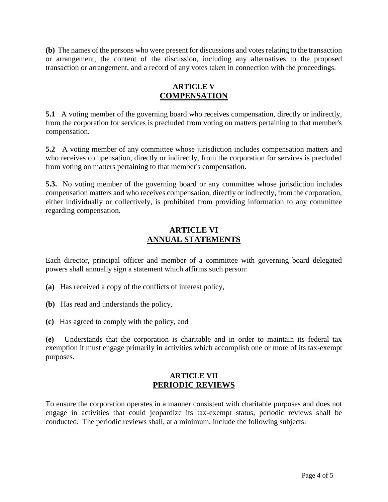**(b)** The names of the persons who were present for discussions and votes relating to the transaction or arrangement, the content of the discussion, including any alternatives to the proposed transaction or arrangement, and a record of any votes taken in connection with the proceedings.

## **ARTICLE V COMPENSATION**

**5.1** A voting member of the governing board who receives compensation, directly or indirectly, from the corporation for services is precluded from voting on matters pertaining to that member's compensation.

**5.2** A voting member of any committee whose jurisdiction includes compensation matters and who receives compensation, directly or indirectly, from the corporation for services is precluded from voting on matters pertaining to that member's compensation.

**5.3.** No voting member of the governing board or any committee whose jurisdiction includes compensation matters and who receives compensation, directly or indirectly, from the corporation, either individually or collectively, is prohibited from providing information to any committee regarding compensation.

## **ARTICLE VI ANNUAL STATEMENTS**

Each director, principal officer and member of a committee with governing board delegated powers shall annually sign a statement which affirms such person:

- **(a)** Has received a copy of the conflicts of interest policy,
- **(b)** Has read and understands the policy,
- **(c)** Has agreed to comply with the policy, and

**(e)** Understands that the corporation is charitable and in order to maintain its federal tax exemption it must engage primarily in activities which accomplish one or more of its tax-exempt purposes.

## **ARTICLE VII PERIODIC REVIEWS**

To ensure the corporation operates in a manner consistent with charitable purposes and does not engage in activities that could jeopardize its tax-exempt status, periodic reviews shall be conducted. The periodic reviews shall, at a minimum, include the following subjects: